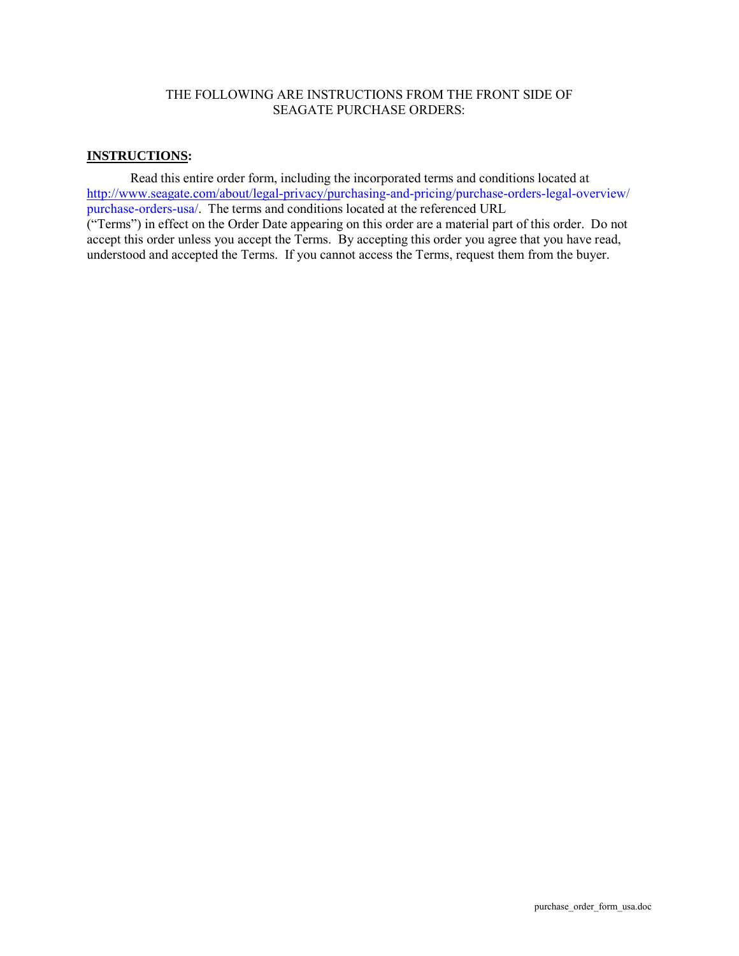#### THE FOLLOWING ARE INSTRUCTIONS FROM THE FRONT SIDE OF SEAGATE PURCHASE ORDERS:

### **INSTRUCTIONS :**

Read this entire order form, including the incorporated terms and conditions located at [http://www.seagate.com/about/legal-privacy/purchasing-and-pricing/purchase-orders-legal-overview/](http://www.seagate.com/about/legal-privacy/purchasing-and-pricing/purchase-orders-legal-overview/purchase-orders-usa/) purchase-orders-usa/. The terms and conditions located at the referenced URL

("Terms") in effect on the Order Date appearing on this order are a material part of this order. Do not accept this order unless you accept the Terms. By accepting this order you agree that you have read, understood and accepted the Terms. If you cannot access the Terms, request them from the buyer.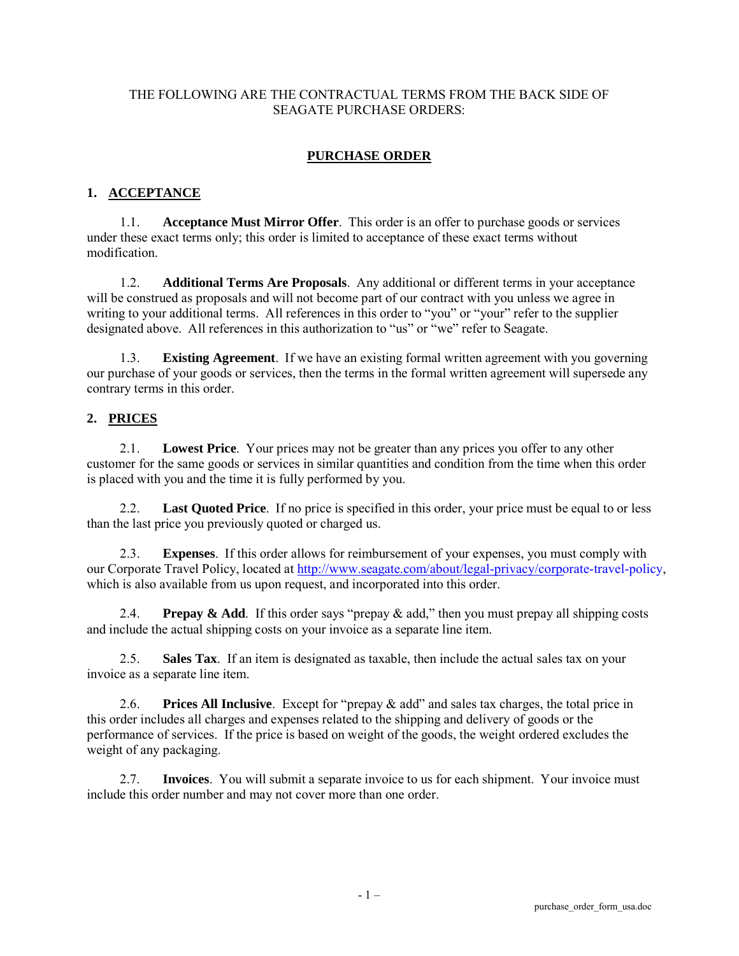#### THE FOLLOWING ARE THE CONTRACTUAL TERMS FROM THE BACK SIDE OF SEAGATE PURCHASE ORDERS:

### **PURCHASE ORDER**

### **1. ACCEPTANCE**

1.1. **Acceptance Must Mirror Offer**. This order is an offer to purchase goods or services under these exact terms only; this order is limited to acceptance of these exact terms without modification.

1.2. **Additional Terms Are Proposals**. Any additional or different terms in your acceptance will be construed as proposals and will not become part of our contract with you unless we agree in writing to your additional terms. All references in this order to "you" or "your" refer to the supplier designated above. All references in this authorization to "us" or "we" refer to Seagate.

1.3. **Existing Agreement**. If we have an existing formal written agreement with you governing our purchase of your goods or services, then the terms in the formal written agreement will supersede any contrary terms in this order.

### **2. PRICES**

2.1. **Lowest Price**. Your prices may not be greater than any prices you offer to any other customer for the same goods or services in similar quantities and condition from the time when this order is placed with you and the time it is fully performed by you.

2.2. **Last Quoted Price**. If no price is specified in this order, your price must be equal to or less than the last price you previously quoted or charged us.

2.3. **Expenses**. If this order allows for reimbursement of your expenses, you must comply with our Corporate Travel Policy, located at [http://www.seagate.com/about/legal-privacy/corporate-travel-policy,](http://www.seagate.com/about/legal-privacy/corporate-travel-policy/) which is also available from us upon request, and incorporated into this order.

2.4. **Prepay & Add**. If this order says "prepay & add," then you must prepay all shipping costs and include the actual shipping costs on your invoice as a separate line item.

2.5. **Sales Tax**. If an item is designated as taxable, then include the actual sales tax on your invoice as a separate line item.

2.6. **Prices All Inclusive**. Except for "prepay & add" and sales tax charges, the total price in this order includes all charges and expenses related to the shipping and delivery of goods or the performance of services. If the price is based on weight of the goods, the weight ordered excludes the weight of any packaging.

2.7. **Invoices**. You will submit a separate invoice to us for each shipment. Your invoice must include this order number and may not cover more than one order.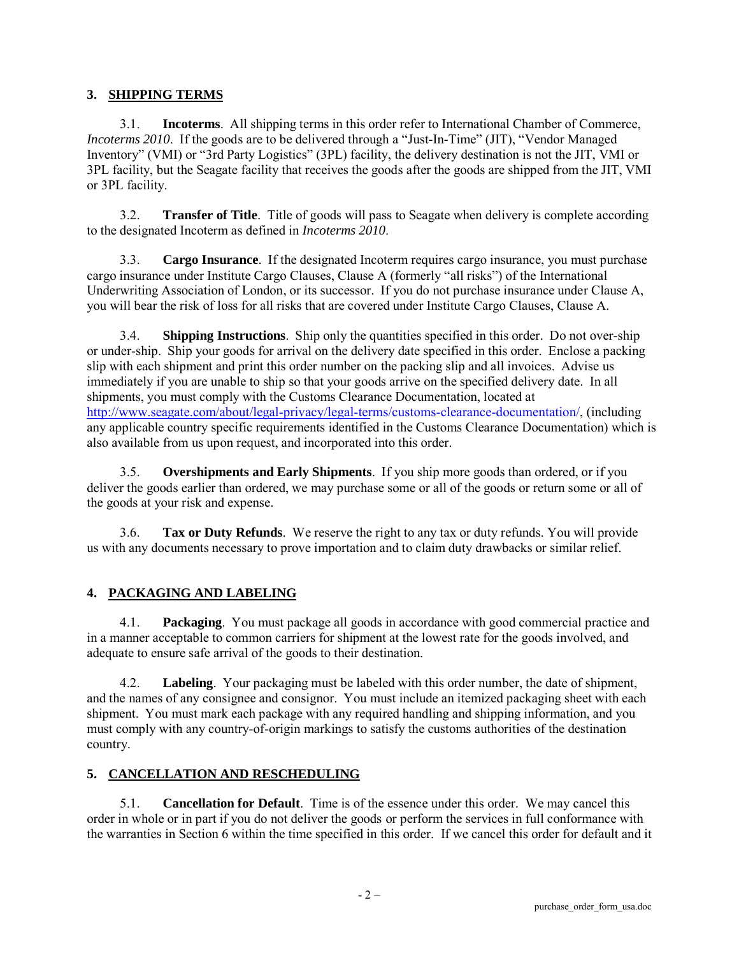### **3. SHIPPING TERMS**

3.1. **Incoterms**. All shipping terms in this order refer to International Chamber of Commerce, *Incoterms 2010*. If the goods are to be delivered through a "Just-In-Time" (JIT), "Vendor Managed Inventory" (VMI) or "3rd Party Logistics" (3PL) facility, the delivery destination is not the JIT, VMI or 3PL facility, but the Seagate facility that receives the goods after the goods are shipped from the JIT, VMI or 3PL facility.

3.2. **Transfer of Title**. Title of goods will pass to Seagate when delivery is complete according to the designated Incoterm as defined in *Incoterms 2010*.

3.3. **Cargo Insurance**. If the designated Incoterm requires cargo insurance, you must purchase cargo insurance under Institute Cargo Clauses, Clause A (formerly "all risks") of the International Underwriting Association of London, or its successor. If you do not purchase insurance under Clause A, you will bear the risk of loss for all risks that are covered under Institute Cargo Clauses, Clause A.

3.4. **Shipping Instructions**. Ship only the quantities specified in this order. Do not over-ship or under-ship. Ship your goods for arrival on the delivery date specified in this order. Enclose a packing slip with each shipment and print this order number on the packing slip and all invoices. Advise us immediately if you are unable to ship so that your goods arrive on the specified delivery date. In all shipments, you must comply with the Customs Clearance Documentation, located at [http://www.seagate.com/about/legal-privacy/legal-term](http://www.seagate.com/about/legal-privacy/legal-terms/customs-clearance-documentation/)s/customs-clearance-documentation/, (including any applicable country specific requirements identified in the Customs Clearance Documentation) which is also available from us upon request, and incorporated into this order.

3.5. **Overshipments and Early Shipments**. If you ship more goods than ordered, or if you deliver the goods earlier than ordered, we may purchase some or all of the goods or return some or all of the goods at your risk and expense.

3.6. **Tax or Duty Refunds**. We reserve the right to any tax or duty refunds. You will provide us with any documents necessary to prove importation and to claim duty drawbacks or similar relief.

# **4. PACKAGING AND LABELING**

4.1. **Packaging**. You must package all goods in accordance with good commercial practice and in a manner acceptable to common carriers for shipment at the lowest rate for the goods involved, and adequate to ensure safe arrival of the goods to their destination.

4.2. **Labeling**. Your packaging must be labeled with this order number, the date of shipment, and the names of any consignee and consignor. You must include an itemized packaging sheet with each shipment. You must mark each package with any required handling and shipping information, and you must comply with any country-of-origin markings to satisfy the customs authorities of the destination country.

# **5. CANCELLATION AND RESCHEDULING**

5.1. **Cancellation for Default**. Time is of the essence under this order. We may cancel this order in whole or in part if you do not deliver the goods or perform the services in full conformance with the warranties in Section 6 within the time specified in this order. If we cancel this order for default and it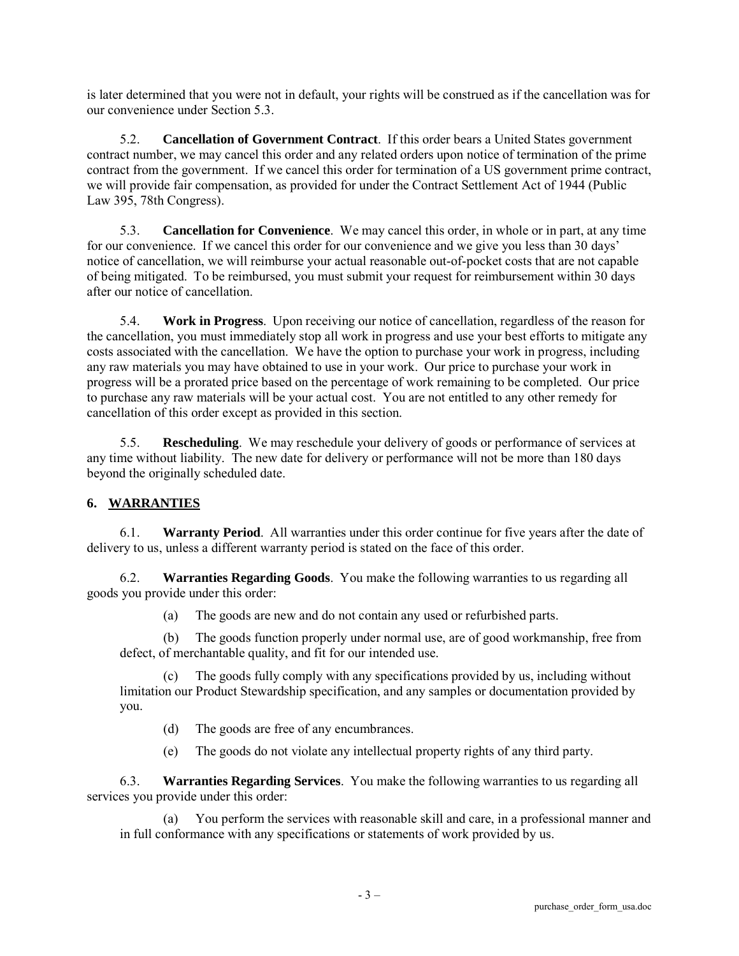is later determined that you were not in default, your rights will be construed as if the cancellation was for our convenience under Section 5.3.

5.2. **Cancellation of Government Contract**. If this order bears a United States government contract number, we may cancel this order and any related orders upon notice of termination of the prime contract from the government. If we cancel this order for termination of a US government prime contract, we will provide fair compensation, as provided for under the Contract Settlement Act of 1944 (Public Law 395, 78th Congress).

5.3. **Cancellation for Convenience**. We may cancel this order, in whole or in part, at any time for our convenience. If we cancel this order for our convenience and we give you less than 30 days' notice of cancellation, we will reimburse your actual reasonable out-of-pocket costs that are not capable of being mitigated. To be reimbursed, you must submit your request for reimbursement within 30 days after our notice of cancellation.

5.4. **Work in Progress**. Upon receiving our notice of cancellation, regardless of the reason for the cancellation, you must immediately stop all work in progress and use your best efforts to mitigate any costs associated with the cancellation. We have the option to purchase your work in progress, including any raw materials you may have obtained to use in your work. Our price to purchase your work in progress will be a prorated price based on the percentage of work remaining to be completed. Our price to purchase any raw materials will be your actual cost. You are not entitled to any other remedy for cancellation of this order except as provided in this section.

5.5. **Rescheduling**. We may reschedule your delivery of goods or performance of services at any time without liability. The new date for delivery or performance will not be more than 180 days beyond the originally scheduled date.

# **6. WARRANTIES**

6.1. **Warranty Period**. All warranties under this order continue for five years after the date of delivery to us, unless a different warranty period is stated on the face of this order.

6.2. **Warranties Regarding Goods**. You make the following warranties to us regarding all goods you provide under this order:

(a) The goods are new and do not contain any used or refurbished parts.

(b) The goods function properly under normal use, are of good workmanship, free from defect, of merchantable quality, and fit for our intended use.

(c) The goods fully comply with any specifications provided by us, including without limitation our Product Stewardship specification, and any samples or documentation provided by you.

- (d) The goods are free of any encumbrances.
- (e) The goods do not violate any intellectual property rights of any third party.

6.3. **Warranties Regarding Services**. You make the following warranties to us regarding all services you provide under this order:

You perform the services with reasonable skill and care, in a professional manner and in full conformance with any specifications or statements of work provided by us.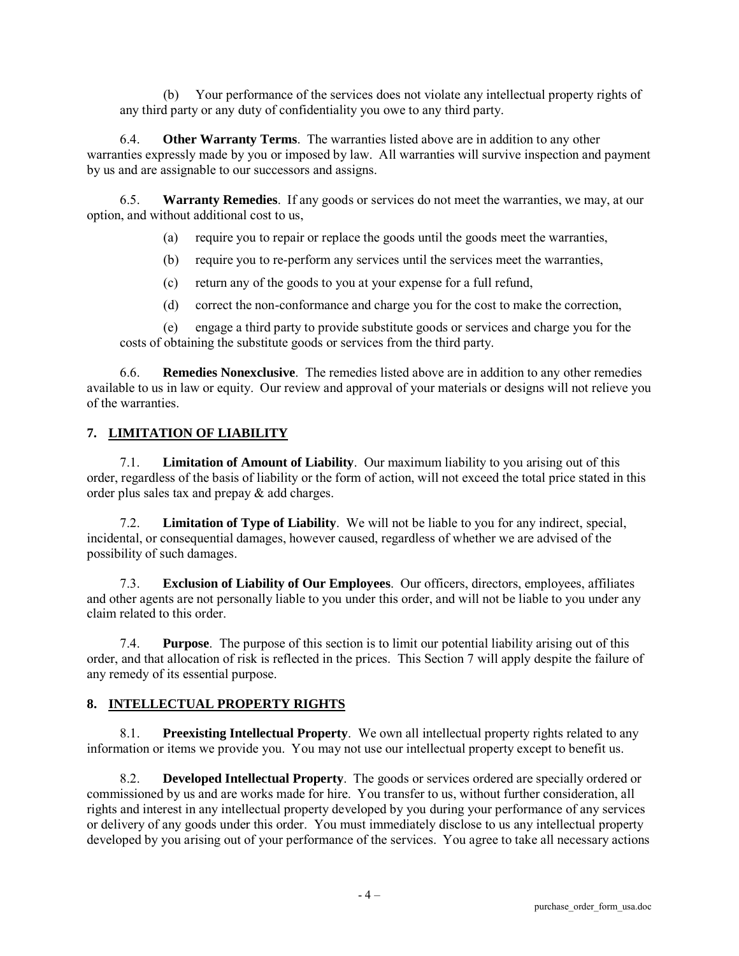(b) Your performance of the services does not violate any intellectual property rights of any third party or any duty of confidentiality you owe to any third party.

6.4. **Other Warranty Terms**. The warranties listed above are in addition to any other warranties expressly made by you or imposed by law. All warranties will survive inspection and payment by us and are assignable to our successors and assigns.

6.5. **Warranty Remedies**. If any goods or services do not meet the warranties, we may, at our option, and without additional cost to us,

- (a) require you to repair or replace the goods until the goods meet the warranties,
- (b) require you to re-perform any services until the services meet the warranties,
- (c) return any of the goods to you at your expense for a full refund,
- (d) correct the non-conformance and charge you for the cost to make the correction,

(e) engage a third party to provide substitute goods or services and charge you for the costs of obtaining the substitute goods or services from the third party.

6.6. **Remedies Nonexclusive**. The remedies listed above are in addition to any other remedies available to us in law or equity. Our review and approval of your materials or designs will not relieve you of the warranties.

### **7. LIMITATION OF LIABILITY**

7.1. **Limitation of Amount of Liability**. Our maximum liability to you arising out of this order, regardless of the basis of liability or the form of action, will not exceed the total price stated in this order plus sales tax and prepay & add charges.

7.2. **Limitation of Type of Liability**. We will not be liable to you for any indirect, special, incidental, or consequential damages, however caused, regardless of whether we are advised of the possibility of such damages.

**Exclusion of Liability of Our Employees.** Our officers, directors, employees, affiliates and other agents are not personally liable to you under this order, and will not be liable to you under any claim related to this order.

7.4. **Purpose**. The purpose of this section is to limit our potential liability arising out of this order, and that allocation of risk is reflected in the prices. This Section 7 will apply despite the failure of any remedy of its essential purpose.

### **8. INTELLECTUAL PROPERTY RIGHTS**

8.1. **Preexisting Intellectual Property**. We own all intellectual property rights related to any information or items we provide you. You may not use our intellectual property except to benefit us.

8.2. **Developed Intellectual Property**. The goods or services ordered are specially ordered or commissioned by us and are works made for hire. You transfer to us, without further consideration, all rights and interest in any intellectual property developed by you during your performance of any services or delivery of any goods under this order. You must immediately disclose to us any intellectual property developed by you arising out of your performance of the services. You agree to take all necessary actions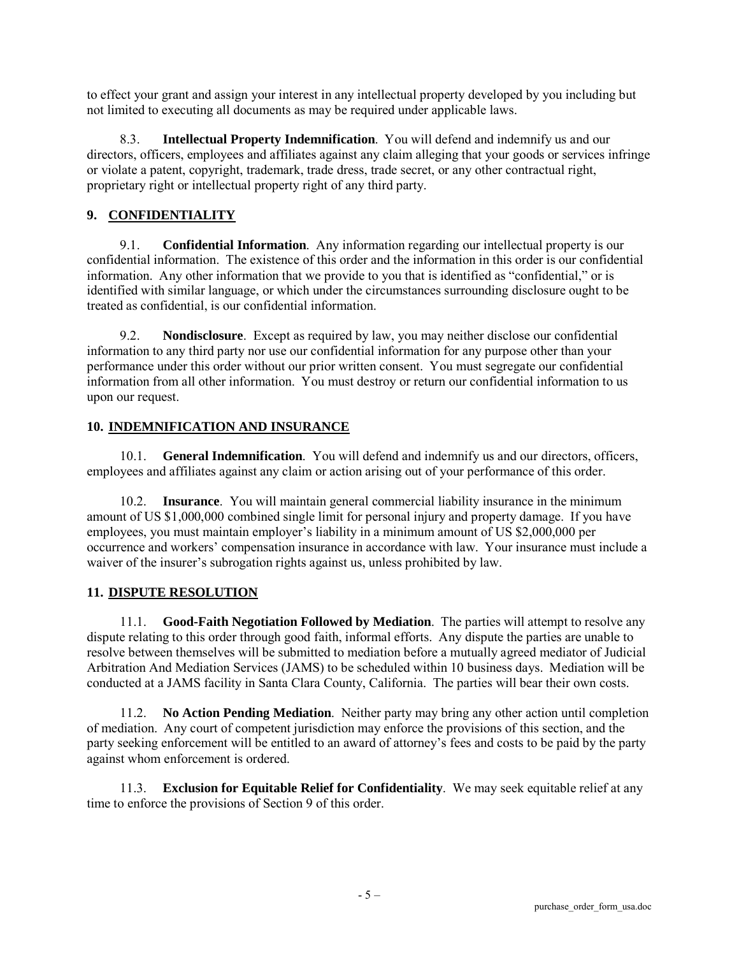to effect your grant and assign your interest in any intellectual property developed by you including but not limited to executing all documents as may be required under applicable laws.

8.3. **Intellectual Property Indemnification**. You will defend and indemnify us and our directors, officers, employees and affiliates against any claim alleging that your goods or services infringe or violate a patent, copyright, trademark, trade dress, trade secret, or any other contractual right, proprietary right or intellectual property right of any third party.

# **9. CONFIDENTIALITY**

9.1. **Confidential Information**. Any information regarding our intellectual property is our confidential information. The existence of this order and the information in this order is our confidential information. Any other information that we provide to you that is identified as "confidential," or is identified with similar language, or which under the circumstances surrounding disclosure ought to be treated as confidential, is our confidential information.

9.2. **Nondisclosure**. Except as required by law, you may neither disclose our confidential information to any third party nor use our confidential information for any purpose other than your performance under this order without our prior written consent. You must segregate our confidential information from all other information. You must destroy or return our confidential information to us upon our request.

### **10. INDEMNIFICATION AND INSURANCE**

10.1. **General Indemnification**. You will defend and indemnify us and our directors, officers, employees and affiliates against any claim or action arising out of your performance of this order.

10.2. **Insurance**. You will maintain general commercial liability insurance in the minimum amount of US \$1,000,000 combined single limit for personal injury and property damage. If you have employees, you must maintain employer's liability in a minimum amount of US \$2,000,000 per occurrence and workers' compensation insurance in accordance with law. Your insurance must include a waiver of the insurer's subrogation rights against us, unless prohibited by law.

# **11. DISPUTE RESOLUTION**

11.1. **Good-Faith Negotiation Followed by Mediation**. The parties will attempt to resolve any dispute relating to this order through good faith, informal efforts. Any dispute the parties are unable to resolve between themselves will be submitted to mediation before a mutually agreed mediator of Judicial Arbitration And Mediation Services (JAMS) to be scheduled within 10 business days. Mediation will be conducted at a JAMS facility in Santa Clara County, California. The parties will bear their own costs.

11.2. **No Action Pending Mediation**. Neither party may bring any other action until completion of mediation. Any court of competent jurisdiction may enforce the provisions of this section, and the party seeking enforcement will be entitled to an award of attorney's fees and costs to be paid by the party against whom enforcement is ordered.

11.3. **Exclusion for Equitable Relief for Confidentiality**. We may seek equitable relief at any time to enforce the provisions of Section 9 of this order.